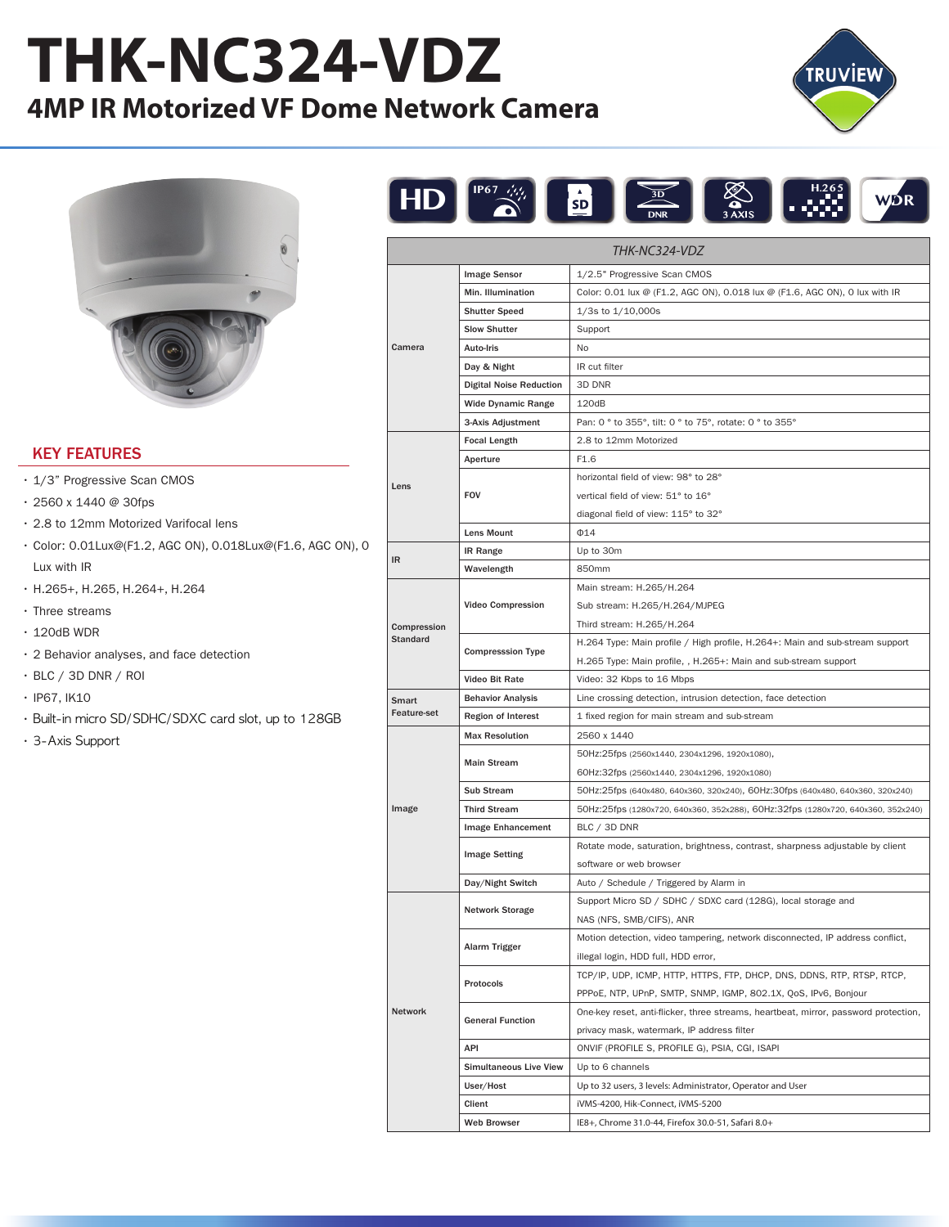## **THK-NC324-VDZ 4MP IR Motorized VF Dome Network Camera**





## KEY FEATURES

- 1/3" Progressive Scan CMOS
- 2560 x 1440 @ 30fps
- 2.8 to 12mm Motorized Varifocal lens
- Color: 0.01Lux@(F1.2, AGC ON), 0.018Lux@(F1.6, AGC ON), 0 Lux with IR
- H.265+, H.265, H.264+, H.264
- Three streams
- $\cdot$  120dB WDR
- 2 Behavior analyses, and face detection
- BLC / 3D DNR / ROI
- IP67, IK10
- Built-in micro SD/SDHC/SDXC card slot, up to 128GB
- 3-Axis Support



| THK-NC324-VDZ           |                                |                                                                                     |  |
|-------------------------|--------------------------------|-------------------------------------------------------------------------------------|--|
| Camera                  | <b>Image Sensor</b>            | 1/2.5" Progressive Scan CMOS                                                        |  |
|                         | Min. Illumination              | Color: 0.01 lux @ (F1.2, AGC ON), 0.018 lux @ (F1.6, AGC ON), 0 lux with IR         |  |
|                         | <b>Shutter Speed</b>           | $1/3s$ to $1/10,000s$                                                               |  |
|                         | <b>Slow Shutter</b>            | Support                                                                             |  |
|                         | Auto-Iris                      | No                                                                                  |  |
|                         | Day & Night                    | IR cut filter                                                                       |  |
|                         | <b>Digital Noise Reduction</b> | 3D DNR                                                                              |  |
|                         | <b>Wide Dynamic Range</b>      | 120dB                                                                               |  |
|                         | 3-Axis Adjustment              | Pan: 0 ° to 355°, tilt: 0 ° to 75°, rotate: 0 ° to 355°                             |  |
| Lens                    | <b>Focal Length</b>            | 2.8 to 12mm Motorized                                                               |  |
|                         | Aperture                       | F <sub>1.6</sub>                                                                    |  |
|                         | <b>FOV</b>                     | horizontal field of view: 98° to 28°                                                |  |
|                         |                                | vertical field of view: 51° to 16°                                                  |  |
|                         |                                | diagonal field of view: 115° to 32°                                                 |  |
|                         | <b>Lens Mount</b>              | $\Phi$ 14                                                                           |  |
|                         | <b>IR Range</b>                | Up to 30m                                                                           |  |
| IR                      | Wavelength                     | 850mm                                                                               |  |
| Compression<br>Standard | <b>Video Compression</b>       | Main stream: H.265/H.264                                                            |  |
|                         |                                | Sub stream: H.265/H.264/MJPEG                                                       |  |
|                         |                                | Third stream: H.265/H.264                                                           |  |
|                         | <b>Compresssion Type</b>       | H.264 Type: Main profile / High profile, H.264+: Main and sub-stream support        |  |
|                         |                                | H.265 Type: Main profile, , H.265+: Main and sub-stream support                     |  |
|                         | <b>Video Bit Rate</b>          | Video: 32 Kbps to 16 Mbps                                                           |  |
| Smart<br>Feature-set    | <b>Behavior Analysis</b>       | Line crossing detection, intrusion detection, face detection                        |  |
|                         | <b>Region of Interest</b>      | 1 fixed region for main stream and sub-stream                                       |  |
|                         | <b>Max Resolution</b>          | 2560 x 1440                                                                         |  |
|                         |                                | 50Hz:25fps (2560x1440, 2304x1296, 1920x1080),                                       |  |
|                         | <b>Main Stream</b>             | 60Hz:32fps (2560x1440, 2304x1296, 1920x1080)                                        |  |
|                         | <b>Sub Stream</b>              | 50Hz:25fps (640x480, 640x360, 320x240), 60Hz:30fps (640x480, 640x360, 320x240)      |  |
| Image                   | <b>Third Stream</b>            | 50Hz:25fps (1280x720, 640x360, 352x288), 60Hz:32fps (1280x720, 640x360, 352x240)    |  |
|                         | Image Enhancement              | BLC / 3D DNR                                                                        |  |
|                         | <b>Image Setting</b>           | Rotate mode, saturation, brightness, contrast, sharpness adjustable by client       |  |
|                         |                                | software or web browser                                                             |  |
|                         | Day/Night Switch               | Auto / Schedule / Triggered by Alarm in                                             |  |
|                         | <b>Network Storage</b>         | Support Micro SD / SDHC / SDXC card (128G), local storage and                       |  |
|                         |                                | NAS (NFS, SMB/CIFS), ANR                                                            |  |
|                         | Alarm Trigger                  | Motion detection, video tampering, network disconnected, IP address conflict,       |  |
|                         |                                | illegal login, HDD full, HDD error,                                                 |  |
|                         | Protocols                      | TCP/IP, UDP, ICMP, HTTP, HTTPS, FTP, DHCP, DNS, DDNS, RTP, RTSP, RTCP,              |  |
|                         |                                | PPPoE, NTP, UPnP, SMTP, SNMP, IGMP, 802.1X, QoS, IPv6, Bonjour                      |  |
| Network                 | <b>General Function</b>        | One-key reset, anti-flicker, three streams, heartbeat, mirror, password protection, |  |
|                         |                                | privacy mask, watermark, IP address filter                                          |  |
|                         | API                            | ONVIF (PROFILE S, PROFILE G), PSIA, CGI, ISAPI                                      |  |
|                         | <b>Simultaneous Live View</b>  | Up to 6 channels                                                                    |  |
|                         | User/Host                      | Up to 32 users, 3 levels: Administrator, Operator and User                          |  |
|                         | Client                         | iVMS-4200, Hik-Connect, iVMS-5200                                                   |  |
|                         | Web Browser                    | IE8+, Chrome 31.0-44, Firefox 30.0-51, Safari 8.0+                                  |  |
|                         |                                |                                                                                     |  |